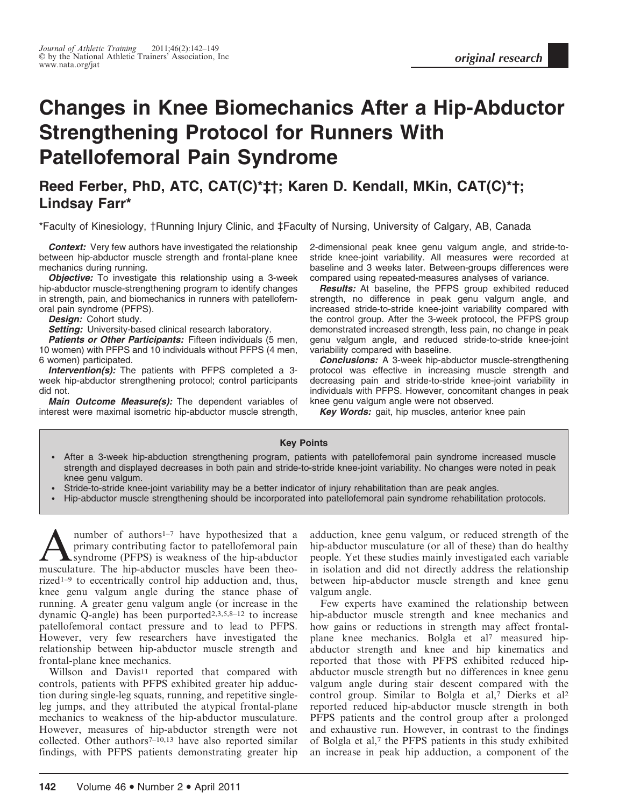# Changes in Knee Biomechanics After a Hip-Abductor Strengthening Protocol for Runners With Patellofemoral Pain Syndrome

# Reed Ferber, PhD, ATC, CAT(C)\*‡†; Karen D. Kendall, MKin, CAT(C)\*†; Lindsay Farr\*

\*Faculty of Kinesiology, †Running Injury Clinic, and ‡Faculty of Nursing, University of Calgary, AB, Canada

**Context:** Very few authors have investigated the relationship between hip-abductor muscle strength and frontal-plane knee mechanics during running.

Objective: To investigate this relationship using a 3-week hip-abductor muscle-strengthening program to identify changes in strength, pain, and biomechanics in runners with patellofemoral pain syndrome (PFPS).

Design: Cohort study.

Setting: University-based clinical research laboratory.

Patients or Other Participants: Fifteen individuals (5 men, 10 women) with PFPS and 10 individuals without PFPS (4 men, 6 women) participated.

**Intervention(s):** The patients with PFPS completed a 3week hip-abductor strengthening protocol; control participants did not.

Main Outcome Measure(s): The dependent variables of interest were maximal isometric hip-abductor muscle strength, 2-dimensional peak knee genu valgum angle, and stride-tostride knee-joint variability. All measures were recorded at baseline and 3 weeks later. Between-groups differences were compared using repeated-measures analyses of variance.

Results: At baseline, the PFPS group exhibited reduced strength, no difference in peak genu valgum angle, and increased stride-to-stride knee-joint variability compared with the control group. After the 3-week protocol, the PFPS group demonstrated increased strength, less pain, no change in peak genu valgum angle, and reduced stride-to-stride knee-joint variability compared with baseline.

**Conclusions:** A 3-week hip-abductor muscle-strengthening protocol was effective in increasing muscle strength and decreasing pain and stride-to-stride knee-joint variability in individuals with PFPS. However, concomitant changes in peak knee genu valgum angle were not observed.

**Key Words:** gait, hip muscles, anterior knee pain

#### Key Points

- After a 3-week hip-abduction strengthening program, patients with patellofemoral pain syndrome increased muscle strength and displayed decreases in both pain and stride-to-stride knee-joint variability. No changes were noted in peak knee genu valgum.
- Stride-to-stride knee-joint variability may be a better indicator of injury rehabilitation than are peak angles.
- Hip-abductor muscle strengthening should be incorporated into patellofemoral pain syndrome rehabilitation protocols.

 $\sum_{\text{symmetry}}^{\text{number of authors}1-7 \text{ have hypothesized that a primary contributing factor to patellofermoral pain}$  syndrome (PFPS) is weakness of the hip-abductor musculature. The hip-abductor muscles have been theoprimary contributing factor to patellofemoral pain musculature. The hip-abductor muscles have been theorized1–9 to eccentrically control hip adduction and, thus, knee genu valgum angle during the stance phase of running. A greater genu valgum angle (or increase in the dynamic Q-angle) has been purported2,3,5,8–12 to increase patellofemoral contact pressure and to lead to PFPS. However, very few researchers have investigated the relationship between hip-abductor muscle strength and frontal-plane knee mechanics.

Willson and Davis<sup>11</sup> reported that compared with controls, patients with PFPS exhibited greater hip adduction during single-leg squats, running, and repetitive singleleg jumps, and they attributed the atypical frontal-plane mechanics to weakness of the hip-abductor musculature. However, measures of hip-abductor strength were not collected. Other authors7–10,13 have also reported similar findings, with PFPS patients demonstrating greater hip

adduction, knee genu valgum, or reduced strength of the hip-abductor musculature (or all of these) than do healthy people. Yet these studies mainly investigated each variable in isolation and did not directly address the relationship between hip-abductor muscle strength and knee genu valgum angle.

Few experts have examined the relationship between hip-abductor muscle strength and knee mechanics and how gains or reductions in strength may affect frontalplane knee mechanics. Bolgla et al7 measured hipabductor strength and knee and hip kinematics and reported that those with PFPS exhibited reduced hipabductor muscle strength but no differences in knee genu valgum angle during stair descent compared with the control group. Similar to Bolgla et al,7 Dierks et al<sup>2</sup> reported reduced hip-abductor muscle strength in both PFPS patients and the control group after a prolonged and exhaustive run. However, in contrast to the findings of Bolgla et al,7 the PFPS patients in this study exhibited an increase in peak hip adduction, a component of the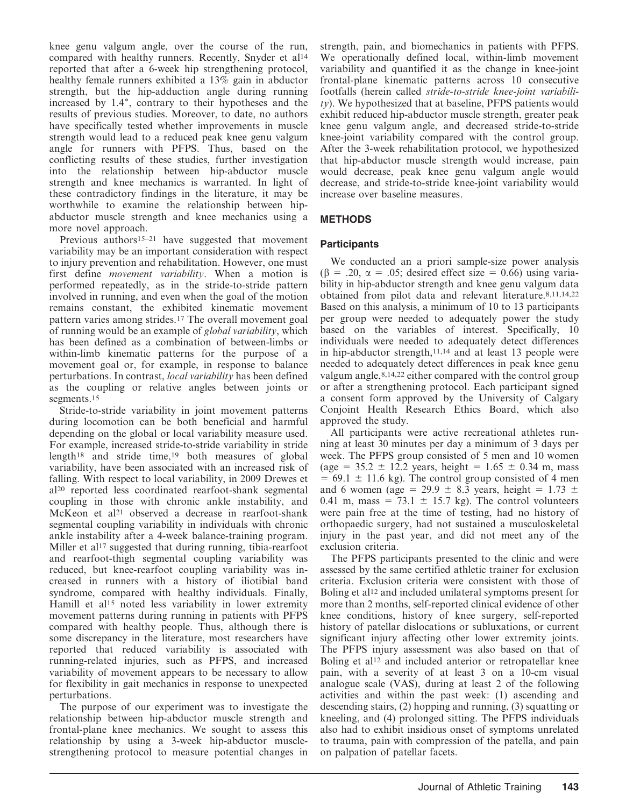knee genu valgum angle, over the course of the run, compared with healthy runners. Recently, Snyder et al14 reported that after a 6-week hip strengthening protocol, healthy female runners exhibited a 13% gain in abductor strength, but the hip-adduction angle during running increased by 1.4°, contrary to their hypotheses and the results of previous studies. Moreover, to date, no authors have specifically tested whether improvements in muscle strength would lead to a reduced peak knee genu valgum angle for runners with PFPS. Thus, based on the conflicting results of these studies, further investigation into the relationship between hip-abductor muscle strength and knee mechanics is warranted. In light of these contradictory findings in the literature, it may be worthwhile to examine the relationship between hipabductor muscle strength and knee mechanics using a more novel approach.

Previous authors<sup>15-21</sup> have suggested that movement variability may be an important consideration with respect to injury prevention and rehabilitation. However, one must first define movement variability. When a motion is performed repeatedly, as in the stride-to-stride pattern involved in running, and even when the goal of the motion remains constant, the exhibited kinematic movement pattern varies among strides.17 The overall movement goal of running would be an example of global variability, which has been defined as a combination of between-limbs or within-limb kinematic patterns for the purpose of a movement goal or, for example, in response to balance perturbations. In contrast, local variability has been defined as the coupling or relative angles between joints or segments.15

Stride-to-stride variability in joint movement patterns during locomotion can be both beneficial and harmful depending on the global or local variability measure used. For example, increased stride-to-stride variability in stride length18 and stride time,19 both measures of global variability, have been associated with an increased risk of falling. With respect to local variability, in 2009 Drewes et al20 reported less coordinated rearfoot-shank segmental coupling in those with chronic ankle instability, and McKeon et al<sup>21</sup> observed a decrease in rearfoot-shank segmental coupling variability in individuals with chronic ankle instability after a 4-week balance-training program. Miller et al<sup>17</sup> suggested that during running, tibia-rearfoot and rearfoot-thigh segmental coupling variability was reduced, but knee-rearfoot coupling variability was increased in runners with a history of iliotibial band syndrome, compared with healthy individuals. Finally, Hamill et al<sup>15</sup> noted less variability in lower extremity movement patterns during running in patients with PFPS compared with healthy people. Thus, although there is some discrepancy in the literature, most researchers have reported that reduced variability is associated with running-related injuries, such as PFPS, and increased variability of movement appears to be necessary to allow for flexibility in gait mechanics in response to unexpected perturbations.

The purpose of our experiment was to investigate the relationship between hip-abductor muscle strength and frontal-plane knee mechanics. We sought to assess this relationship by using a 3-week hip-abductor musclestrengthening protocol to measure potential changes in strength, pain, and biomechanics in patients with PFPS. We operationally defined local, within-limb movement variability and quantified it as the change in knee-joint frontal-plane kinematic patterns across 10 consecutive footfalls (herein called stride-to-stride knee-joint variability). We hypothesized that at baseline, PFPS patients would exhibit reduced hip-abductor muscle strength, greater peak knee genu valgum angle, and decreased stride-to-stride knee-joint variability compared with the control group. After the 3-week rehabilitation protocol, we hypothesized that hip-abductor muscle strength would increase, pain would decrease, peak knee genu valgum angle would decrease, and stride-to-stride knee-joint variability would increase over baseline measures.

# METHODS

# **Participants**

We conducted an a priori sample-size power analysis  $(\beta = .20, \alpha = .05;$  desired effect size = 0.66) using variability in hip-abductor strength and knee genu valgum data obtained from pilot data and relevant literature.8,11,14,22 Based on this analysis, a minimum of 10 to 13 participants per group were needed to adequately power the study based on the variables of interest. Specifically, 10 individuals were needed to adequately detect differences in hip-abductor strength,11,14 and at least 13 people were needed to adequately detect differences in peak knee genu valgum angle,8,14,22 either compared with the control group or after a strengthening protocol. Each participant signed a consent form approved by the University of Calgary Conjoint Health Research Ethics Board, which also approved the study.

All participants were active recreational athletes running at least 30 minutes per day a minimum of 3 days per week. The PFPS group consisted of 5 men and 10 women (age =  $35.2 \pm 12.2$  years, height =  $1.65 \pm 0.34$  m, mass  $= 69.1 \pm 11.6$  kg). The control group consisted of 4 men and 6 women (age = 29.9  $\pm$  8.3 years, height = 1.73  $\pm$ 0.41 m, mass = 73.1  $\pm$  15.7 kg). The control volunteers were pain free at the time of testing, had no history of orthopaedic surgery, had not sustained a musculoskeletal injury in the past year, and did not meet any of the exclusion criteria.

The PFPS participants presented to the clinic and were assessed by the same certified athletic trainer for exclusion criteria. Exclusion criteria were consistent with those of Boling et al12 and included unilateral symptoms present for more than 2 months, self-reported clinical evidence of other knee conditions, history of knee surgery, self-reported history of patellar dislocations or subluxations, or current significant injury affecting other lower extremity joints. The PFPS injury assessment was also based on that of Boling et al12 and included anterior or retropatellar knee pain, with a severity of at least 3 on a 10-cm visual analogue scale (VAS), during at least 2 of the following activities and within the past week: (1) ascending and descending stairs, (2) hopping and running, (3) squatting or kneeling, and (4) prolonged sitting. The PFPS individuals also had to exhibit insidious onset of symptoms unrelated to trauma, pain with compression of the patella, and pain on palpation of patellar facets.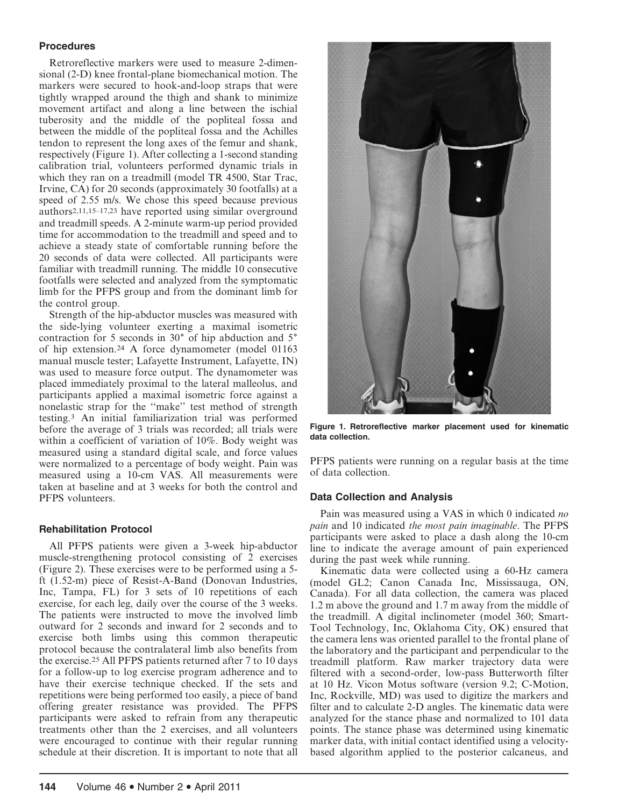# **Procedures**

Retroreflective markers were used to measure 2-dimensional (2-D) knee frontal-plane biomechanical motion. The markers were secured to hook-and-loop straps that were tightly wrapped around the thigh and shank to minimize movement artifact and along a line between the ischial tuberosity and the middle of the popliteal fossa and between the middle of the popliteal fossa and the Achilles tendon to represent the long axes of the femur and shank, respectively (Figure 1). After collecting a 1-second standing calibration trial, volunteers performed dynamic trials in which they ran on a treadmill (model TR 4500, Star Trac, Irvine, CA) for 20 seconds (approximately 30 footfalls) at a speed of 2.55 m/s. We chose this speed because previous authors2,11,15–17,23 have reported using similar overground and treadmill speeds. A 2-minute warm-up period provided time for accommodation to the treadmill and speed and to achieve a steady state of comfortable running before the 20 seconds of data were collected. All participants were familiar with treadmill running. The middle 10 consecutive footfalls were selected and analyzed from the symptomatic limb for the PFPS group and from the dominant limb for the control group.

Strength of the hip-abductor muscles was measured with the side-lying volunteer exerting a maximal isometric contraction for 5 seconds in  $30^{\circ}$  of hip abduction and  $5^{\circ}$ of hip extension.24 A force dynamometer (model 01163 manual muscle tester; Lafayette Instrument, Lafayette, IN) was used to measure force output. The dynamometer was placed immediately proximal to the lateral malleolus, and participants applied a maximal isometric force against a nonelastic strap for the ''make'' test method of strength testing.3 An initial familiarization trial was performed before the average of 3 trials was recorded; all trials were within a coefficient of variation of 10%. Body weight was measured using a standard digital scale, and force values were normalized to a percentage of body weight. Pain was measured using a 10-cm VAS. All measurements were taken at baseline and at 3 weeks for both the control and PFPS volunteers.

# Rehabilitation Protocol

All PFPS patients were given a 3-week hip-abductor muscle-strengthening protocol consisting of 2 exercises (Figure 2). These exercises were to be performed using a 5 ft (1.52-m) piece of Resist-A-Band (Donovan Industries, Inc, Tampa, FL) for 3 sets of 10 repetitions of each exercise, for each leg, daily over the course of the 3 weeks. The patients were instructed to move the involved limb outward for 2 seconds and inward for 2 seconds and to exercise both limbs using this common therapeutic protocol because the contralateral limb also benefits from the exercise.25 All PFPS patients returned after 7 to 10 days for a follow-up to log exercise program adherence and to have their exercise technique checked. If the sets and repetitions were being performed too easily, a piece of band offering greater resistance was provided. The PFPS participants were asked to refrain from any therapeutic treatments other than the 2 exercises, and all volunteers were encouraged to continue with their regular running schedule at their discretion. It is important to note that all



Figure 1. Retroreflective marker placement used for kinematic data collection.

PFPS patients were running on a regular basis at the time of data collection.

#### Data Collection and Analysis

Pain was measured using a VAS in which 0 indicated no pain and 10 indicated the most pain imaginable. The PFPS participants were asked to place a dash along the 10-cm line to indicate the average amount of pain experienced during the past week while running.

Kinematic data were collected using a 60-Hz camera (model GL2; Canon Canada Inc, Mississauga, ON, Canada). For all data collection, the camera was placed 1.2 m above the ground and 1.7 m away from the middle of the treadmill. A digital inclinometer (model 360; Smart-Tool Technology, Inc, Oklahoma City, OK) ensured that the camera lens was oriented parallel to the frontal plane of the laboratory and the participant and perpendicular to the treadmill platform. Raw marker trajectory data were filtered with a second-order, low-pass Butterworth filter at 10 Hz. Vicon Motus software (version 9.2; C-Motion, Inc, Rockville, MD) was used to digitize the markers and filter and to calculate 2-D angles. The kinematic data were analyzed for the stance phase and normalized to 101 data points. The stance phase was determined using kinematic marker data, with initial contact identified using a velocitybased algorithm applied to the posterior calcaneus, and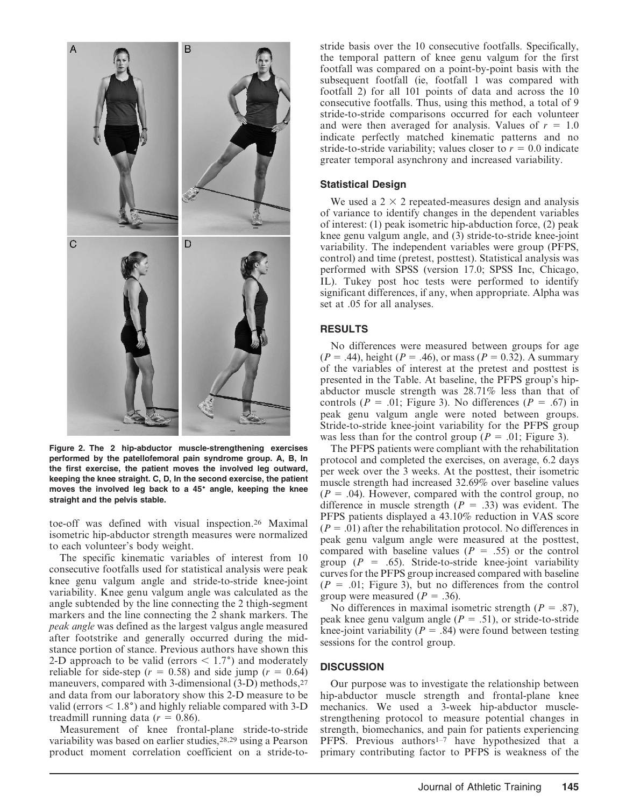

Figure 2. The 2 hip-abductor muscle-strengthening exercises performed by the patellofemoral pain syndrome group. A, B, In the first exercise, the patient moves the involved leg outward, keeping the knee straight. C, D, In the second exercise, the patient moves the involved leg back to a 45° angle, keeping the knee straight and the pelvis stable.

toe-off was defined with visual inspection.26 Maximal isometric hip-abductor strength measures were normalized to each volunteer's body weight.

The specific kinematic variables of interest from 10 consecutive footfalls used for statistical analysis were peak knee genu valgum angle and stride-to-stride knee-joint variability. Knee genu valgum angle was calculated as the angle subtended by the line connecting the 2 thigh-segment markers and the line connecting the 2 shank markers. The peak angle was defined as the largest valgus angle measured after footstrike and generally occurred during the midstance portion of stance. Previous authors have shown this 2-D approach to be valid (errors  $\leq 1.7^{\circ}$ ) and moderately reliable for side-step ( $r = 0.58$ ) and side jump ( $r = 0.64$ ) maneuvers, compared with 3-dimensional (3-D) methods,  $27$ and data from our laboratory show this 2-D measure to be valid (errors  $\leq 1.8^{\circ}$ ) and highly reliable compared with 3-D treadmill running data  $(r = 0.86)$ .

Measurement of knee frontal-plane stride-to-stride variability was based on earlier studies,28,29 using a Pearson product moment correlation coefficient on a stride-tostride basis over the 10 consecutive footfalls. Specifically, the temporal pattern of knee genu valgum for the first footfall was compared on a point-by-point basis with the subsequent footfall (ie, footfall 1 was compared with footfall 2) for all 101 points of data and across the 10 consecutive footfalls. Thus, using this method, a total of 9 stride-to-stride comparisons occurred for each volunteer and were then averaged for analysis. Values of  $r = 1.0$ indicate perfectly matched kinematic patterns and no stride-to-stride variability; values closer to  $r = 0.0$  indicate greater temporal asynchrony and increased variability.

#### Statistical Design

We used a  $2 \times 2$  repeated-measures design and analysis of variance to identify changes in the dependent variables of interest: (1) peak isometric hip-abduction force, (2) peak knee genu valgum angle, and (3) stride-to-stride knee-joint variability. The independent variables were group (PFPS, control) and time (pretest, posttest). Statistical analysis was performed with SPSS (version 17.0; SPSS Inc, Chicago, IL). Tukey post hoc tests were performed to identify significant differences, if any, when appropriate. Alpha was set at .05 for all analyses.

#### RESULTS

No differences were measured between groups for age  $(P = .44)$ , height  $(P = .46)$ , or mass  $(P = 0.32)$ . A summary of the variables of interest at the pretest and posttest is presented in the Table. At baseline, the PFPS group's hipabductor muscle strength was 28.71% less than that of controls ( $P = .01$ ; Figure 3). No differences ( $P = .67$ ) in peak genu valgum angle were noted between groups. Stride-to-stride knee-joint variability for the PFPS group was less than for the control group ( $P = .01$ ; Figure 3).

The PFPS patients were compliant with the rehabilitation protocol and completed the exercises, on average, 6.2 days per week over the 3 weeks. At the posttest, their isometric muscle strength had increased 32.69% over baseline values  $(P = .04)$ . However, compared with the control group, no difference in muscle strength ( $P = .33$ ) was evident. The PFPS patients displayed a 43.10% reduction in VAS score  $(P = .01)$  after the rehabilitation protocol. No differences in peak genu valgum angle were measured at the posttest, compared with baseline values ( $P = .55$ ) or the control group ( $P = .65$ ). Stride-to-stride knee-joint variability curves for the PFPS group increased compared with baseline  $(P = .01;$  Figure 3), but no differences from the control group were measured ( $P = .36$ ).

No differences in maximal isometric strength ( $P = .87$ ), peak knee genu valgum angle ( $P = .51$ ), or stride-to-stride knee-joint variability ( $P = .84$ ) were found between testing sessions for the control group.

#### **DISCUSSION**

Our purpose was to investigate the relationship between hip-abductor muscle strength and frontal-plane knee mechanics. We used a 3-week hip-abductor musclestrengthening protocol to measure potential changes in strength, biomechanics, and pain for patients experiencing PFPS. Previous authors<sup>1-7</sup> have hypothesized that a primary contributing factor to PFPS is weakness of the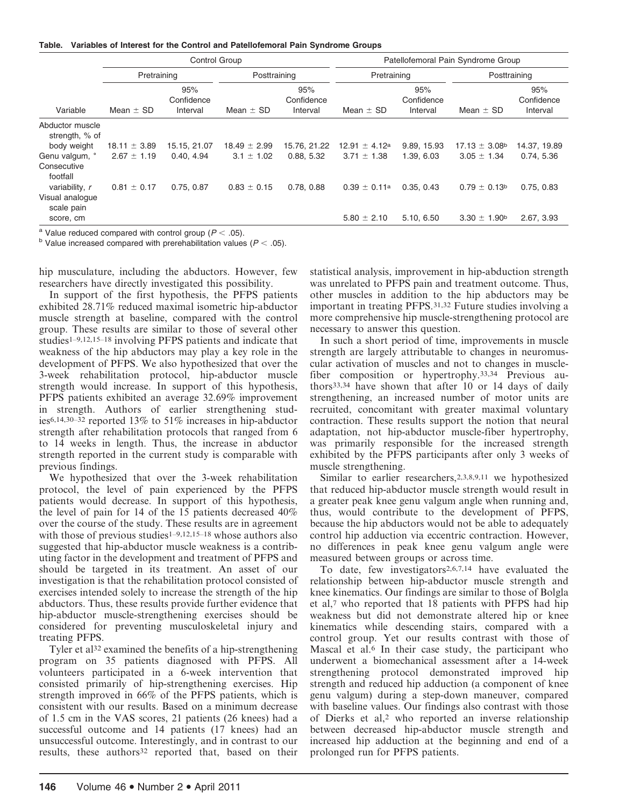Table. Variables of Interest for the Control and Patellofemoral Pain Syndrome Groups

|                                            | Control Group                       |                               |                                    |                               | Patellofemoral Pain Syndrome Group    |                               |                                       |                               |
|--------------------------------------------|-------------------------------------|-------------------------------|------------------------------------|-------------------------------|---------------------------------------|-------------------------------|---------------------------------------|-------------------------------|
|                                            | Pretraining                         |                               | Posttraining                       |                               | Pretraining                           |                               | Posttraining                          |                               |
| Variable                                   | Mean $\pm$ SD                       | 95%<br>Confidence<br>Interval | Mean $\pm$ SD                      | 95%<br>Confidence<br>Interval | Mean $\pm$ SD                         | 95%<br>Confidence<br>Interval | Mean $\pm$ SD                         | 95%<br>Confidence<br>Interval |
| Abductor muscle<br>strength, % of          |                                     |                               |                                    |                               |                                       |                               |                                       |                               |
| body weight<br>Genu valgum, °              | $18.11 \pm 3.89$<br>$2.67 \pm 1.19$ | 15.15, 21.07<br>0.40, 4.94    | $18.49 \pm 2.99$<br>$3.1 \pm 1.02$ | 15.76, 21.22<br>0.88, 5.32    | $12.91 \pm 4.12^a$<br>$3.71 \pm 1.38$ | 9.89, 15.93<br>1.39, 6.03     | $17.13 \pm 3.08$ b<br>$3.05 \pm 1.34$ | 14.37, 19.89<br>0.74, 5.36    |
| Consecutive<br>footfall                    |                                     |                               |                                    |                               |                                       |                               |                                       |                               |
| variability, r                             | $0.81 \pm 0.17$                     | 0.75.0.87                     | $0.83 \pm 0.15$                    | 0.78.0.88                     | $0.39 \pm 0.11^a$                     | 0.35, 0.43                    | $0.79 \pm 0.13^{\circ}$               | 0.75.0.83                     |
| Visual analoque<br>scale pain<br>score, cm |                                     |                               |                                    |                               | $5.80 \pm 2.10$                       | 5.10, 6.50                    | $3.30 \pm 1.90$                       | 2.67, 3.93                    |

<sup>a</sup> Value reduced compared with control group ( $P < .05$ ).<br><sup>b</sup> Value increased compared with prerehabilitation values ( $P < .05$ ).

hip musculature, including the abductors. However, few researchers have directly investigated this possibility.

In support of the first hypothesis, the PFPS patients exhibited 28.71% reduced maximal isometric hip-abductor muscle strength at baseline, compared with the control group. These results are similar to those of several other studies1–9,12,15–18 involving PFPS patients and indicate that weakness of the hip abductors may play a key role in the development of PFPS. We also hypothesized that over the 3-week rehabilitation protocol, hip-abductor muscle strength would increase. In support of this hypothesis, PFPS patients exhibited an average 32.69% improvement in strength. Authors of earlier strengthening studies6,14,30–32 reported 13% to 51% increases in hip-abductor strength after rehabilitation protocols that ranged from 6 to 14 weeks in length. Thus, the increase in abductor strength reported in the current study is comparable with previous findings.

We hypothesized that over the 3-week rehabilitation protocol, the level of pain experienced by the PFPS patients would decrease. In support of this hypothesis, the level of pain for 14 of the 15 patients decreased 40% over the course of the study. These results are in agreement with those of previous studies<sup>1–9,12,15–18</sup> whose authors also suggested that hip-abductor muscle weakness is a contributing factor in the development and treatment of PFPS and should be targeted in its treatment. An asset of our investigation is that the rehabilitation protocol consisted of exercises intended solely to increase the strength of the hip abductors. Thus, these results provide further evidence that hip-abductor muscle-strengthening exercises should be considered for preventing musculoskeletal injury and treating PFPS.

Tyler et al<sup>32</sup> examined the benefits of a hip-strengthening program on 35 patients diagnosed with PFPS. All volunteers participated in a 6-week intervention that consisted primarily of hip-strengthening exercises. Hip strength improved in 66% of the PFPS patients, which is consistent with our results. Based on a minimum decrease of 1.5 cm in the VAS scores, 21 patients (26 knees) had a successful outcome and 14 patients (17 knees) had an unsuccessful outcome. Interestingly, and in contrast to our results, these authors<sup>32</sup> reported that, based on their

statistical analysis, improvement in hip-abduction strength was unrelated to PFPS pain and treatment outcome. Thus, other muscles in addition to the hip abductors may be important in treating PFPS.31,32 Future studies involving a more comprehensive hip muscle-strengthening protocol are necessary to answer this question.

In such a short period of time, improvements in muscle strength are largely attributable to changes in neuromuscular activation of muscles and not to changes in musclefiber composition or hypertrophy.33,34 Previous authors33,34 have shown that after 10 or 14 days of daily strengthening, an increased number of motor units are recruited, concomitant with greater maximal voluntary contraction. These results support the notion that neural adaptation, not hip-abductor muscle-fiber hypertrophy, was primarily responsible for the increased strength exhibited by the PFPS participants after only 3 weeks of muscle strengthening.

Similar to earlier researchers, 2,3,8,9,11 we hypothesized that reduced hip-abductor muscle strength would result in a greater peak knee genu valgum angle when running and, thus, would contribute to the development of PFPS, because the hip abductors would not be able to adequately control hip adduction via eccentric contraction. However, no differences in peak knee genu valgum angle were measured between groups or across time.

To date, few investigators2,6,7,14 have evaluated the relationship between hip-abductor muscle strength and knee kinematics. Our findings are similar to those of Bolgla et al,7 who reported that 18 patients with PFPS had hip weakness but did not demonstrate altered hip or knee kinematics while descending stairs, compared with a control group. Yet our results contrast with those of Mascal et al.<sup>6</sup> In their case study, the participant who underwent a biomechanical assessment after a 14-week strengthening protocol demonstrated improved hip strength and reduced hip adduction (a component of knee genu valgum) during a step-down maneuver, compared with baseline values. Our findings also contrast with those of Dierks et al,2 who reported an inverse relationship between decreased hip-abductor muscle strength and increased hip adduction at the beginning and end of a prolonged run for PFPS patients.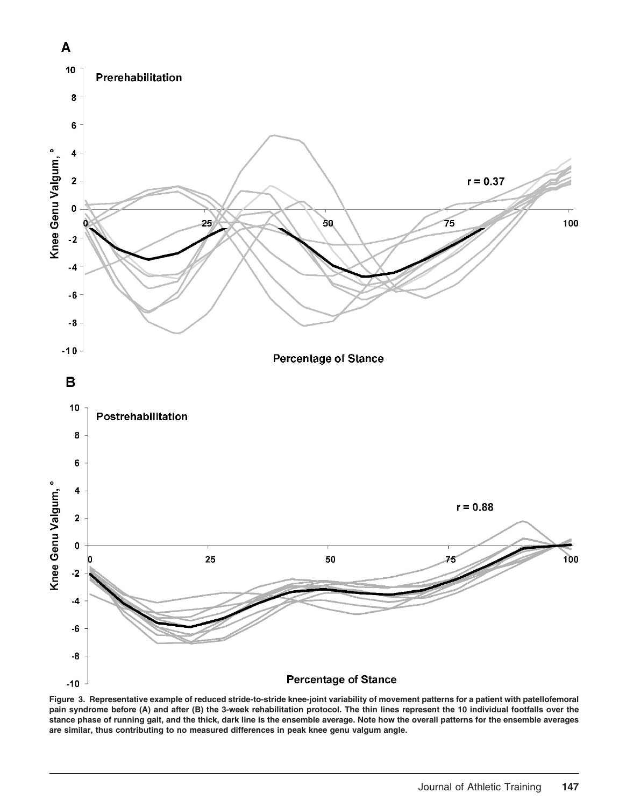

Figure 3. Representative example of reduced stride-to-stride knee-joint variability of movement patterns for a patient with patellofemoral pain syndrome before (A) and after (B) the 3-week rehabilitation protocol. The thin lines represent the 10 individual footfalls over the stance phase of running gait, and the thick, dark line is the ensemble average. Note how the overall patterns for the ensemble averages are similar, thus contributing to no measured differences in peak knee genu valgum angle.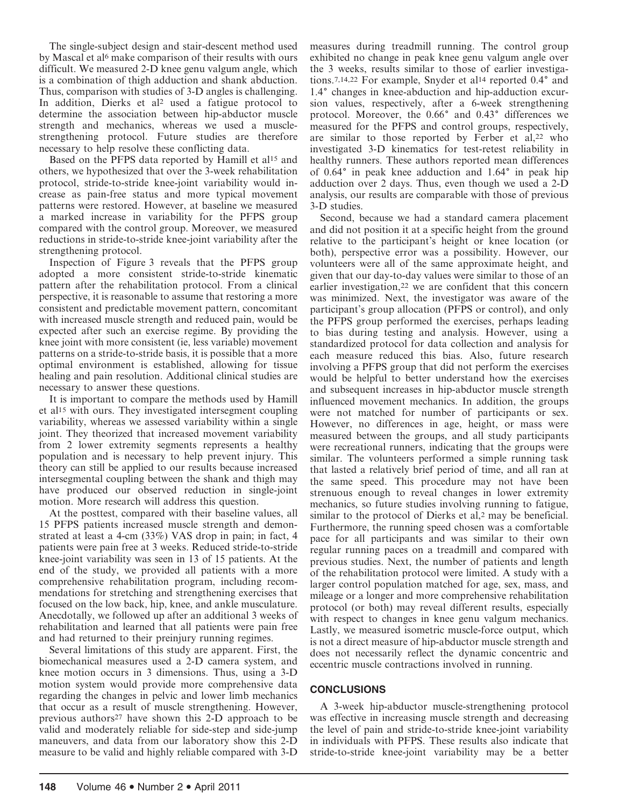The single-subject design and stair-descent method used by Mascal et al<sup>6</sup> make comparison of their results with ours difficult. We measured 2-D knee genu valgum angle, which is a combination of thigh adduction and shank abduction. Thus, comparison with studies of 3-D angles is challenging. In addition, Dierks et al2 used a fatigue protocol to determine the association between hip-abductor muscle strength and mechanics, whereas we used a musclestrengthening protocol. Future studies are therefore necessary to help resolve these conflicting data.

Based on the PFPS data reported by Hamill et al<sup>15</sup> and others, we hypothesized that over the 3-week rehabilitation protocol, stride-to-stride knee-joint variability would increase as pain-free status and more typical movement patterns were restored. However, at baseline we measured a marked increase in variability for the PFPS group compared with the control group. Moreover, we measured reductions in stride-to-stride knee-joint variability after the strengthening protocol.

Inspection of Figure 3 reveals that the PFPS group adopted a more consistent stride-to-stride kinematic pattern after the rehabilitation protocol. From a clinical perspective, it is reasonable to assume that restoring a more consistent and predictable movement pattern, concomitant with increased muscle strength and reduced pain, would be expected after such an exercise regime. By providing the knee joint with more consistent (ie, less variable) movement patterns on a stride-to-stride basis, it is possible that a more optimal environment is established, allowing for tissue healing and pain resolution. Additional clinical studies are necessary to answer these questions.

It is important to compare the methods used by Hamill et al15 with ours. They investigated intersegment coupling variability, whereas we assessed variability within a single joint. They theorized that increased movement variability from 2 lower extremity segments represents a healthy population and is necessary to help prevent injury. This theory can still be applied to our results because increased intersegmental coupling between the shank and thigh may have produced our observed reduction in single-joint motion. More research will address this question.

At the posttest, compared with their baseline values, all 15 PFPS patients increased muscle strength and demonstrated at least a 4-cm (33%) VAS drop in pain; in fact, 4 patients were pain free at 3 weeks. Reduced stride-to-stride knee-joint variability was seen in 13 of 15 patients. At the end of the study, we provided all patients with a more comprehensive rehabilitation program, including recommendations for stretching and strengthening exercises that focused on the low back, hip, knee, and ankle musculature. Anecdotally, we followed up after an additional 3 weeks of rehabilitation and learned that all patients were pain free and had returned to their preinjury running regimes.

Several limitations of this study are apparent. First, the biomechanical measures used a 2-D camera system, and knee motion occurs in 3 dimensions. Thus, using a 3-D motion system would provide more comprehensive data regarding the changes in pelvic and lower limb mechanics that occur as a result of muscle strengthening. However, previous authors27 have shown this 2-D approach to be valid and moderately reliable for side-step and side-jump maneuvers, and data from our laboratory show this 2-D measure to be valid and highly reliable compared with 3-D

measures during treadmill running. The control group exhibited no change in peak knee genu valgum angle over the 3 weeks, results similar to those of earlier investigations.<sup>7,14,22</sup> For example, Snyder et al<sup>14</sup> reported  $0.4^{\circ}$  and 1.4° changes in knee-abduction and hip-adduction excursion values, respectively, after a 6-week strengthening protocol. Moreover, the  $0.66^{\circ}$  and  $0.43^{\circ}$  differences we measured for the PFPS and control groups, respectively, are similar to those reported by Ferber et al,22 who investigated 3-D kinematics for test-retest reliability in healthy runners. These authors reported mean differences of  $0.64^{\circ}$  in peak knee adduction and  $1.64^{\circ}$  in peak hip adduction over 2 days. Thus, even though we used a 2-D analysis, our results are comparable with those of previous 3-D studies.

Second, because we had a standard camera placement and did not position it at a specific height from the ground relative to the participant's height or knee location (or both), perspective error was a possibility. However, our volunteers were all of the same approximate height, and given that our day-to-day values were similar to those of an earlier investigation,<sup>22</sup> we are confident that this concern was minimized. Next, the investigator was aware of the participant's group allocation (PFPS or control), and only the PFPS group performed the exercises, perhaps leading to bias during testing and analysis. However, using a standardized protocol for data collection and analysis for each measure reduced this bias. Also, future research involving a PFPS group that did not perform the exercises would be helpful to better understand how the exercises and subsequent increases in hip-abductor muscle strength influenced movement mechanics. In addition, the groups were not matched for number of participants or sex. However, no differences in age, height, or mass were measured between the groups, and all study participants were recreational runners, indicating that the groups were similar. The volunteers performed a simple running task that lasted a relatively brief period of time, and all ran at the same speed. This procedure may not have been strenuous enough to reveal changes in lower extremity mechanics, so future studies involving running to fatigue, similar to the protocol of Dierks et al,<sup>2</sup> may be beneficial. Furthermore, the running speed chosen was a comfortable pace for all participants and was similar to their own regular running paces on a treadmill and compared with previous studies. Next, the number of patients and length of the rehabilitation protocol were limited. A study with a larger control population matched for age, sex, mass, and mileage or a longer and more comprehensive rehabilitation protocol (or both) may reveal different results, especially with respect to changes in knee genu valgum mechanics. Lastly, we measured isometric muscle-force output, which is not a direct measure of hip-abductor muscle strength and does not necessarily reflect the dynamic concentric and eccentric muscle contractions involved in running.

# **CONCLUSIONS**

A 3-week hip-abductor muscle-strengthening protocol was effective in increasing muscle strength and decreasing the level of pain and stride-to-stride knee-joint variability in individuals with PFPS. These results also indicate that stride-to-stride knee-joint variability may be a better